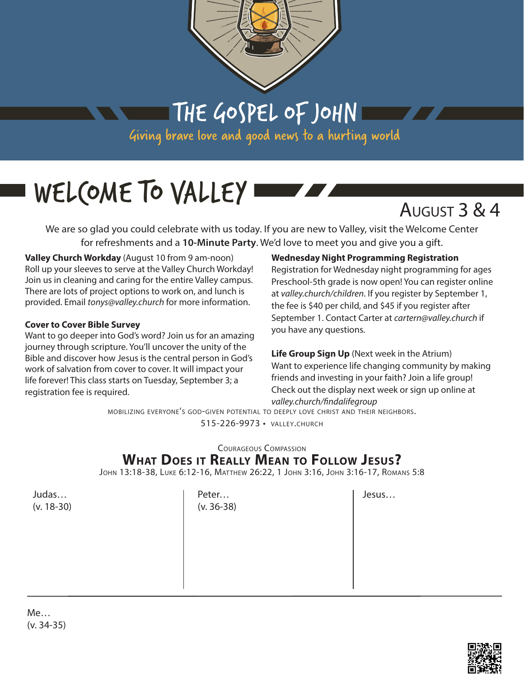

THE GOSPEL OF JOHN

Giving brave love and good news to a hurting world

# WELCOME TO VALLEY

## August 3 & 4

777

We are so glad you could celebrate with us today. If you are new to Valley, visit the Welcome Center for refreshments and a **10-Minute Party**. We'd love to meet you and give you a gift.

**Valley Church Workday** (August 10 from 9 am-noon) Roll up your sleeves to serve at the Valley Church Workday! Join us in cleaning and caring for the entire Valley campus. There are lots of project options to work on, and lunch is provided. Email *tonys@valley.church* for more information.

#### **Cover to Cover Bible Survey**

Want to go deeper into God's word? Join us for an amazing journey through scripture. You'll uncover the unity of the Bible and discover how Jesus is the central person in God's work of salvation from cover to cover. It will impact your life forever! This class starts on Tuesday, September 3; a registration fee is required.

#### **Wednesday Night Programming Registration**

Registration for Wednesday night programming for ages Preschool-5th grade is now open! You can register online at *valley.church/children*. If you register by September 1, the fee is \$40 per child, and \$45 if you register after September 1. Contact Carter at *cartern@valley.church* if you have any questions.

**Life Group Sign Up** (Next week in the Atrium) Want to experience life changing community by making friends and investing in your faith? Join a life group! Check out the display next week or sign up online at *valley.church/findalifegroup*

mobilizing everyone's god-given potential to deeply love christ and their neighbors. 515-226-9973 • valley.church

### Courageous Compassion **What Does it Really Mean to Follow Jesus?**

John 13:18-38, Luke 6:12-16, Matthew 26:22, 1 John 3:16, John 3:16-17, Romans 5:8

Judas… (v. 18-30) Peter… (v. 36-38) Jesus…

Me… (v. 34-35)